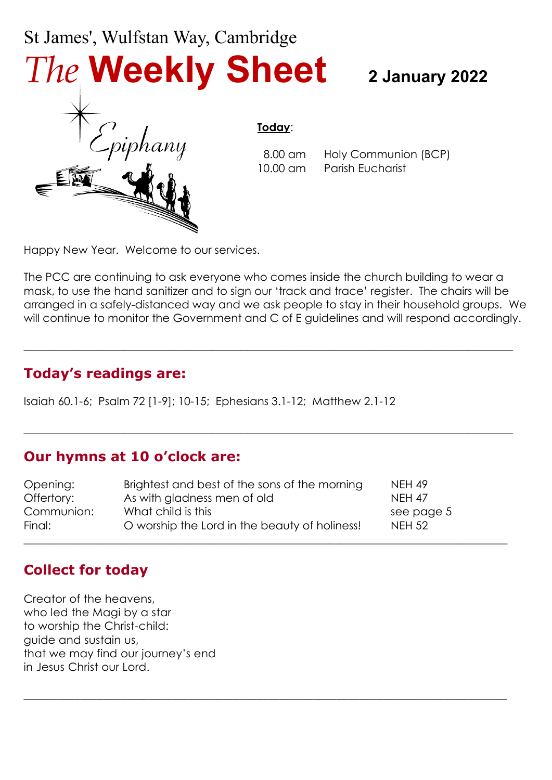# St James', Wulfstan Way, Cambridge *The* **Weekly Sheet 2 January 2022**



**Today**:

 8.00 am Holy Communion (BCP) 10.00 am Parish Eucharist

Happy New Year. Welcome to our services.

The PCC are continuing to ask everyone who comes inside the church building to wear a mask, to use the hand sanitizer and to sign our 'track and trace' register. The chairs will be arranged in a safely-distanced way and we ask people to stay in their household groups. We will continue to monitor the Government and C of E guidelines and will respond accordingly.

 $\_$  , and the set of the set of the set of the set of the set of the set of the set of the set of the set of the set of the set of the set of the set of the set of the set of the set of the set of the set of the set of th

 $\_$  , and the set of the set of the set of the set of the set of the set of the set of the set of the set of the set of the set of the set of the set of the set of the set of the set of the set of the set of the set of th

\_\_\_\_\_\_\_\_\_\_\_\_\_\_\_\_\_\_\_\_\_\_\_\_\_\_\_\_\_\_\_\_\_\_\_\_\_\_\_\_\_\_\_\_\_\_\_\_\_\_\_\_\_\_\_\_\_\_\_\_\_\_\_\_\_\_\_\_\_\_\_\_\_\_\_\_\_\_\_\_\_\_\_\_\_

# **Today's readings are:**

Isaiah 60.1-6; Psalm 72 [1-9]; 10-15; Ephesians 3.1-12; Matthew 2.1-12

#### **Our hymns at 10 o'clock are:**

| Opening:   | Brightest and best of the sons of the morning | NEH <sub>49</sub> |
|------------|-----------------------------------------------|-------------------|
| Offertory: | As with gladness men of old                   | NEH 47            |
| Communion: | What child is this                            | see page 5        |
| Final:     | O worship the Lord in the beauty of holiness! | <b>NEH 52</b>     |
|            |                                               |                   |

#### **Collect for today**

Creator of the heavens, who led the Magi by a star to worship the Christ-child: guide and sustain us, that we may find our journey's end in Jesus Christ our Lord.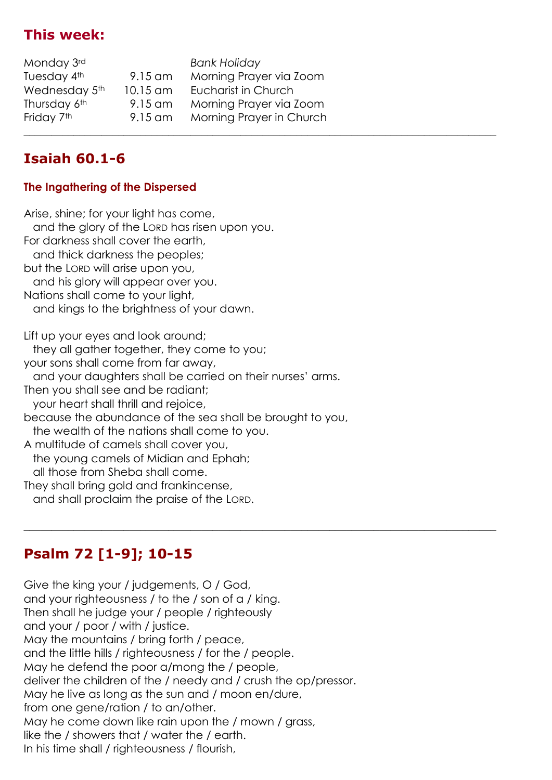# **This week:**

| Monday 3rd                |          | <b>Bank Holiday</b>      |  |
|---------------------------|----------|--------------------------|--|
| Tuesday 4th               | 9.15 am  | Morning Prayer via Zoom  |  |
| Wednesday 5 <sup>th</sup> | 10.15 am | Eucharist in Church      |  |
| Thursday 6th              | 9.15 am  | Morning Prayer via Zoom  |  |
| Friday 7th                | 9.15 am  | Morning Prayer in Church |  |
|                           |          |                          |  |

### **Isaiah 60.1-6**

#### **The Ingathering of the Dispersed**

Arise, shine; for your light has come, and the glory of the LORD has risen upon you. For darkness shall cover the earth, and thick darkness the peoples; but the LORD will arise upon you, and his glory will appear over you. Nations shall come to your light, and kings to the brightness of your dawn. Lift up your eyes and look around; they all gather together, they come to you; your sons shall come from far away, and your daughters shall be carried on their nurses' arms. Then you shall see and be radiant; your heart shall thrill and rejoice, because the abundance of the sea shall be brought to you, the wealth of the nations shall come to you. A multitude of camels shall cover you, the young camels of Midian and Ephah; all those from Sheba shall come. They shall bring gold and frankincense, and shall proclaim the praise of the LORD.  $\_$  , and the set of the set of the set of the set of the set of the set of the set of the set of the set of the set of the set of the set of the set of the set of the set of the set of the set of the set of the set of th

# **Psalm 72 [1-9]; 10-15**

Give the king your / judgements, O / God, and your righteousness / to the / son of a / king. Then shall he judge your / people / righteously and your / poor / with / justice. May the mountains / bring forth / peace, and the little hills / righteousness / for the / people. May he defend the poor a/mong the / people, deliver the children of the / needy and / crush the op/pressor. May he live as long as the sun and / moon en/dure, from one gene/ration / to an/other. May he come down like rain upon the / mown / grass, like the / showers that / water the / earth. In his time shall / righteousness / flourish,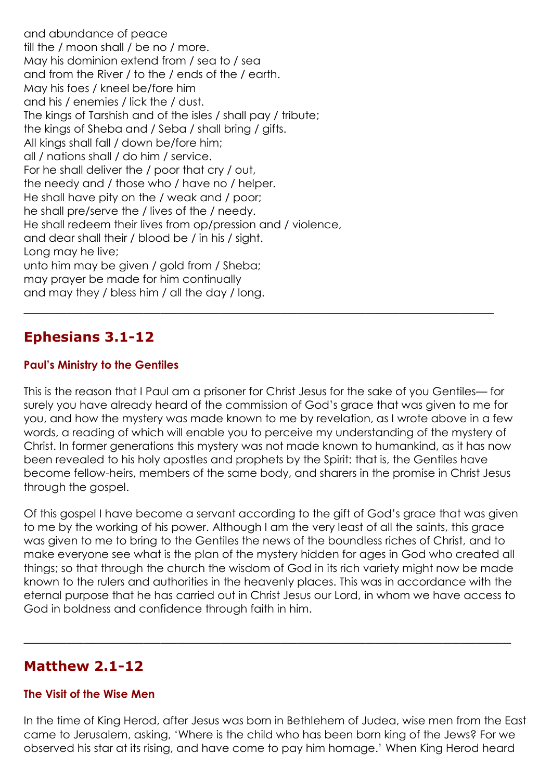and abundance of peace till the / moon shall / be no / more. May his dominion extend from / sea to / sea and from the River / to the / ends of the / earth. May his foes / kneel be/fore him and his / enemies / lick the / dust. The kings of Tarshish and of the isles / shall pay / tribute; the kings of Sheba and / Seba / shall bring / gifts. All kings shall fall / down be/fore him; all / nations shall / do him / service. For he shall deliver the / poor that cry / out, the needy and / those who / have no / helper. He shall have pity on the / weak and / poor; he shall pre/serve the / lives of the / needy. He shall redeem their lives from op/pression and / violence, and dear shall their / blood be / in his / sight. Long may he live; unto him may be given / gold from / Sheba; may prayer be made for him continually and may they / bless him / all the day / long.

# **Ephesians 3.1-12**

#### **Paul's Ministry to the Gentiles**

This is the reason that I Paul am a prisoner for Christ Jesus for the sake of you Gentiles— for surely you have already heard of the commission of God's grace that was given to me for you, and how the mystery was made known to me by revelation, as I wrote above in a few words, a reading of which will enable you to perceive my understanding of the mystery of Christ. In former generations this mystery was not made known to humankind, as it has now been revealed to his holy apostles and prophets by the Spirit: that is, the Gentiles have become fellow-heirs, members of the same body, and sharers in the promise in Christ Jesus through the gospel.

 $\_$  , and the set of the set of the set of the set of the set of the set of the set of the set of the set of the set of the set of the set of the set of the set of the set of the set of the set of the set of the set of th

Of this gospel I have become a servant according to the gift of God's grace that was given to me by the working of his power. Although I am the very least of all the saints, this grace was given to me to bring to the Gentiles the news of the boundless riches of Christ, and to make everyone see what is the plan of the mystery hidden for ages in God who created all things; so that through the church the wisdom of God in its rich variety might now be made known to the rulers and authorities in the heavenly places. This was in accordance with the eternal purpose that he has carried out in Christ Jesus our Lord, in whom we have access to God in boldness and confidence through faith in him.

\_\_\_\_\_\_\_\_\_\_\_\_\_\_\_\_\_\_\_\_\_\_\_\_\_\_\_\_\_\_\_\_\_\_\_\_\_\_\_\_\_\_\_\_\_\_\_\_\_\_\_\_\_\_\_\_\_

#### **Matthew 2.1-12**

#### **The Visit of the Wise Men**

In the time of King Herod, after Jesus was born in Bethlehem of Judea, wise men from the East came to Jerusalem, asking, 'Where is the child who has been born king of the Jews? For we observed his star at its rising, and have come to pay him homage.' When King Herod heard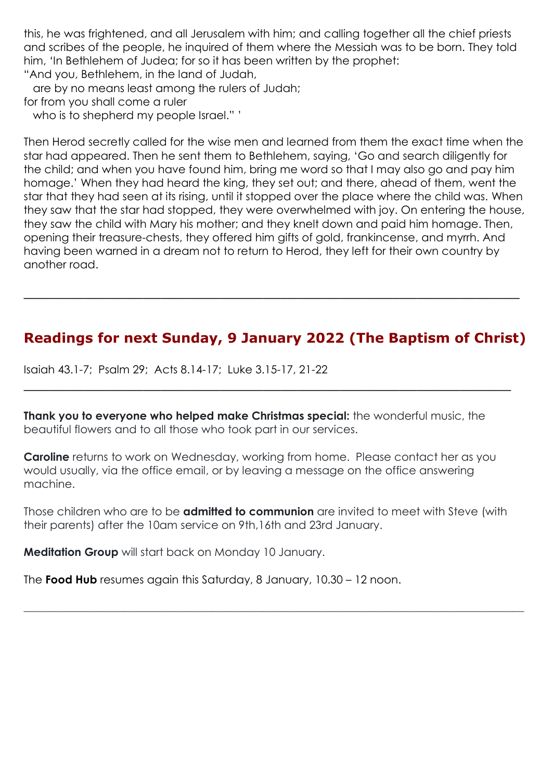this, he was frightened, and all Jerusalem with him; and calling together all the chief priests and scribes of the people, he inquired of them where the Messiah was to be born. They told him, 'In Bethlehem of Judea; for so it has been written by the prophet: "And you, Bethlehem, in the land of Judah,

are by no means least among the rulers of Judah;

for from you shall come a ruler

who is to shepherd my people Israel." '

Then Herod secretly called for the wise men and learned from them the exact time when the star had appeared. Then he sent them to Bethlehem, saying, 'Go and search diligently for the child; and when you have found him, bring me word so that I may also go and pay him homage.' When they had heard the king, they set out; and there, ahead of them, went the star that they had seen at its rising, until it stopped over the place where the child was. When they saw that the star had stopped, they were overwhelmed with joy. On entering the house, they saw the child with Mary his mother; and they knelt down and paid him homage. Then, opening their treasure-chests, they offered him gifts of gold, frankincense, and myrrh. And having been warned in a dream not to return to Herod, they left for their own country by another road.

# **Readings for next Sunday, 9 January 2022 (The Baptism of Christ)**

\_\_\_\_\_\_\_\_\_\_\_\_\_\_\_\_\_\_\_\_\_\_\_\_\_\_\_\_\_\_\_\_\_\_\_\_\_\_\_\_\_\_\_\_\_\_\_\_\_\_\_\_\_\_\_\_\_

\_\_\_\_\_\_\_\_\_\_\_\_\_\_\_\_\_\_\_\_\_\_\_\_\_\_\_\_\_\_\_\_\_\_\_\_\_\_\_\_\_\_\_\_\_\_\_\_\_\_\_\_\_\_\_\_\_\_

Isaiah 43.1-7; Psalm 29; Acts 8.14-17; Luke 3.15-17, 21-22

**Thank you to everyone who helped make Christmas special:** the wonderful music, the beautiful flowers and to all those who took part in our services.

**Caroline** returns to work on Wednesday, working from home. Please contact her as you would usually, via the office email, or by leaving a message on the office answering machine.

Those children who are to be **admitted to communion** are invited to meet with Steve (with their parents) after the 10am service on 9th,16th and 23rd January.

 $\_$  , and the set of the set of the set of the set of the set of the set of the set of the set of the set of the set of the set of the set of the set of the set of the set of the set of the set of the set of the set of th

**Meditation Group** will start back on Monday 10 January.

The **Food Hub** resumes again this Saturday, 8 January, 10.30 – 12 noon.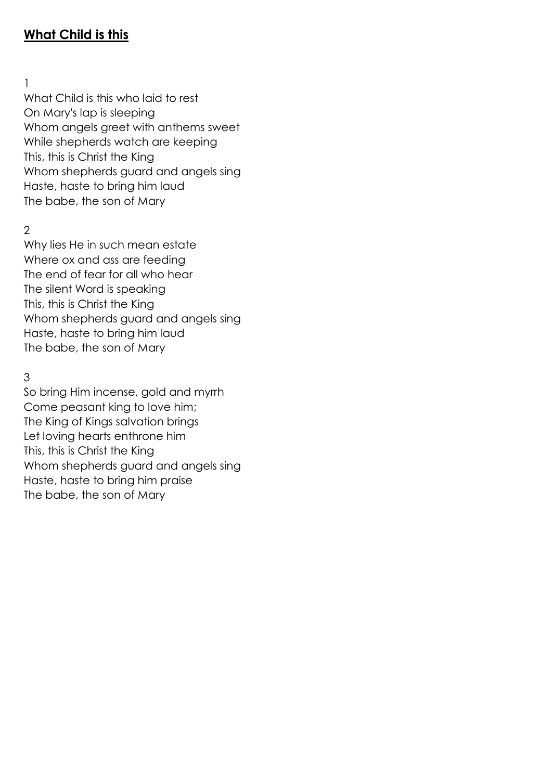#### **What Child is this**

1

What Child is this who laid to rest On Mary's lap is sleeping Whom angels greet with anthems sweet While shepherds watch are keeping This, this is Christ the King Whom shepherds guard and angels sing Haste, haste to bring him laud The babe, the son of Mary

#### 2

Why lies He in such mean estate Where ox and ass are feeding The end of fear for all who hear The silent Word is speaking This, this is Christ the King Whom shepherds guard and angels sing Haste, haste to bring him laud The babe, the son of Mary

#### 3

So bring Him incense, gold and myrrh Come peasant king to love him; The King of Kings salvation brings Let loving hearts enthrone him This, this is Christ the King Whom shepherds guard and angels sing Haste, haste to bring him praise The babe, the son of Mary